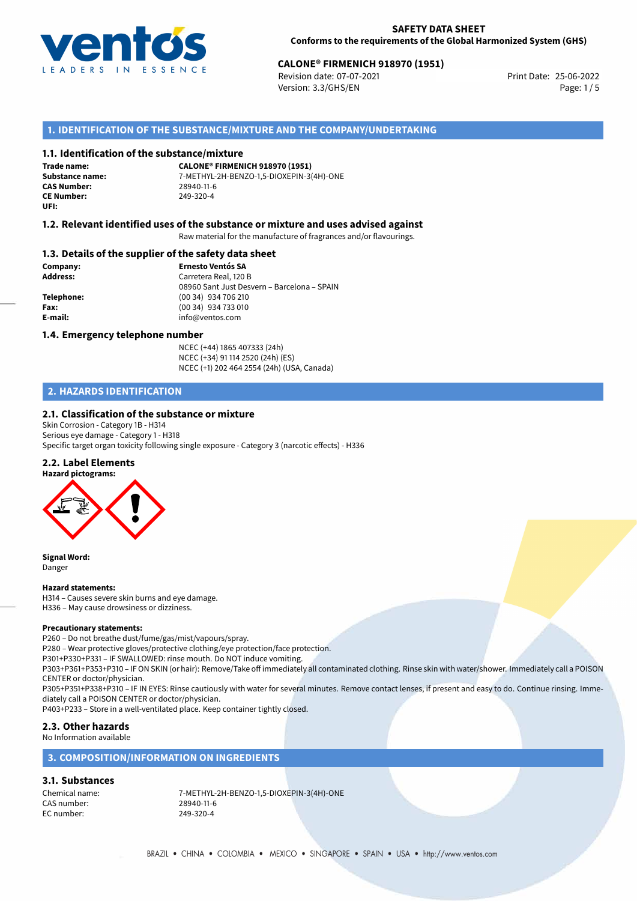

# 25-06-2022 **CALONE® FIRMENICH 918970 (1951)**

Revision date: 07-07-2021 Version: 3.3/GHS/EN Page: 1/5

# **1. IDENTIFICATION OF THE SUBSTANCE/MIXTURE AND THE COMPANY/UNDERTAKING**

#### **1.1. Identification of the substance/mixture**

**Trade name: CAS Number:** 28940-11-6 **CE Number:** 249-320-4 **UFI:**

**CALONE® FIRMENICH 918970 (1951) Substance name:** 7-METHYL-2H-BENZO-1,5-DIOXEPIN-3(4H)-ONE

# **1.2. Relevant identified uses of the substance or mixture and uses advised against**

Raw material for the manufacture of fragrances and/or flavourings.

#### **1.3. Details of the supplier of the safety data sheet**

**Company: Ernesto Ventós SA Address:** Carretera Real, 120 B 08960 Sant Just Desvern – Barcelona – SPAIN **Telephone:** (00 34) 934 706 210 **Fax:** (00 34) 934 733 010 **E-mail:** info@ventos.com

#### **1.4. Emergency telephone number**

NCEC (+44) 1865 407333 (24h) NCEC (+34) 91 114 2520 (24h) (ES) NCEC (+1) 202 464 2554 (24h) (USA, Canada)

# **2. HAZARDS IDENTIFICATION**

## **2.1. Classification of the substance or mixture**

Skin Corrosion - Category 1B - H314 Serious eye damage - Category 1 - H318 Specific target organ toxicity following single exposure - Category 3 (narcotic effects) - H336

## **2.2. Label Elements**



**Signal Word:** Danger

#### **Hazard statements:**

H314 – Causes severe skin burns and eye damage. H336 – May cause drowsiness or dizziness.

#### **Precautionary statements:**

P260 – Do not breathe dust/fume/gas/mist/vapours/spray.

P280 – Wear protective gloves/protective clothing/eye protection/face protection.

P301+P330+P331 – IF SWALLOWED: rinse mouth. Do NOT induce vomiting.

P303+P361+P353+P310 – IF ON SKIN (or hair): Remove/Take off immediately all contaminated clothing. Rinse skin with water/shower. Immediately call a POISON CENTER or doctor/physician.

P305+P351+P338+P310 – IF IN EYES: Rinse cautiously with water for several minutes. Remove contact lenses, if present and easy to do. Continue rinsing. Immediately call a POISON CENTER or doctor/physician.

P403+P233 – Store in a well-ventilated place. Keep container tightly closed.

## **2.3. Other hazards**

No Information available

### **3. COMPOSITION/INFORMATION ON INGREDIENTS**

# **3.1. Substances**

CAS number: 28940-11-6<br>EC number: 249-320-4 EC number:

Chemical name: 7-METHYL-2H-BENZO-1,5-DIOXEPIN-3(4H)-ONE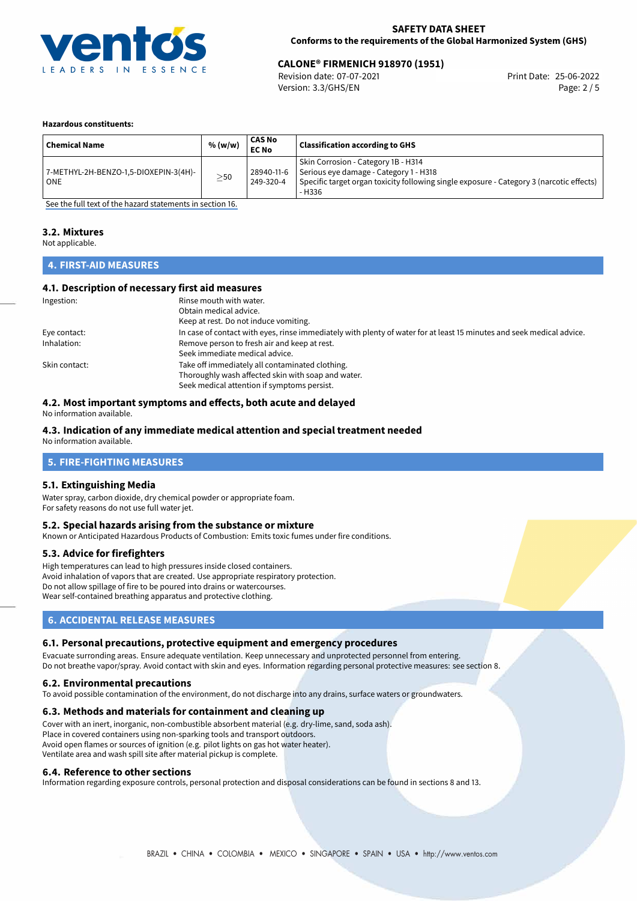

# 25-06-2022 **CALONE® FIRMENICH 918970 (1951)**

Revision date: 07-07-2021 Version: 3.3/GHS/EN Page: 2 / 5

#### **Hazardous constituents:**

| ' Chemical Name                                | % (w/w)   | <b>CAS No</b><br><b>EC No</b> | <b>Classification according to GHS</b>                                                                                                                                              |
|------------------------------------------------|-----------|-------------------------------|-------------------------------------------------------------------------------------------------------------------------------------------------------------------------------------|
| 7-METHYL-2H-BENZO-1,5-DIOXEPIN-3(4H)-<br>l ONE | $\geq$ 50 | 28940-11-6<br>249-320-4       | Skin Corrosion - Category 1B - H314<br>Serious eye damage - Category 1 - H318<br>Specific target organ toxicity following single exposure - Category 3 (narcotic effects)<br>- H336 |

[See the full text of the hazard statements in section 16.](#page-4-0)

# **3.2. Mixtures**

Not applicable.

# **4. FIRST-AID MEASURES**

#### **4.1. Description of necessary first aid measures**

| Ingestion:    | Rinse mouth with water.                                                                                               |
|---------------|-----------------------------------------------------------------------------------------------------------------------|
|               | Obtain medical advice.                                                                                                |
|               | Keep at rest. Do not induce vomiting.                                                                                 |
| Eye contact:  | In case of contact with eyes, rinse immediately with plenty of water for at least 15 minutes and seek medical advice. |
| Inhalation:   | Remove person to fresh air and keep at rest.                                                                          |
|               | Seek immediate medical advice.                                                                                        |
| Skin contact: | Take off immediately all contaminated clothing.                                                                       |
|               | Thoroughly wash affected skin with soap and water.                                                                    |
|               | Seek medical attention if symptoms persist.                                                                           |

## **4.2. Most important symptoms and effects, both acute and delayed**

No information available.

# **4.3. Indication of any immediate medical attention and special treatment needed**

No information available.

## **5. FIRE-FIGHTING MEASURES**

#### **5.1. Extinguishing Media**

Water spray, carbon dioxide, dry chemical powder or appropriate foam. For safety reasons do not use full water jet.

#### **5.2. Special hazards arising from the substance or mixture**

Known or Anticipated Hazardous Products of Combustion: Emits toxic fumes under fire conditions.

#### **5.3. Advice for firefighters**

High temperatures can lead to high pressures inside closed containers. Avoid inhalation of vapors that are created. Use appropriate respiratory protection. Do not allow spillage of fire to be poured into drains or watercourses. Wear self-contained breathing apparatus and protective clothing.

# **6. ACCIDENTAL RELEASE MEASURES**

#### **6.1. Personal precautions, protective equipment and emergency procedures**

Evacuate surronding areas. Ensure adequate ventilation. Keep unnecessary and unprotected personnel from entering. Do not breathe vapor/spray. Avoid contact with skin and eyes. Information regarding personal protective measures: see section 8.

#### **6.2. Environmental precautions**

To avoid possible contamination of the environment, do not discharge into any drains, surface waters or groundwaters.

#### **6.3. Methods and materials for containment and cleaning up**

Cover with an inert, inorganic, non-combustible absorbent material (e.g. dry-lime, sand, soda ash). Place in covered containers using non-sparking tools and transport outdoors. Avoid open flames or sources of ignition (e.g. pilot lights on gas hot water heater). Ventilate area and wash spill site after material pickup is complete.

#### **6.4. Reference to other sections**

Information regarding exposure controls, personal protection and disposal considerations can be found in sections 8 and 13.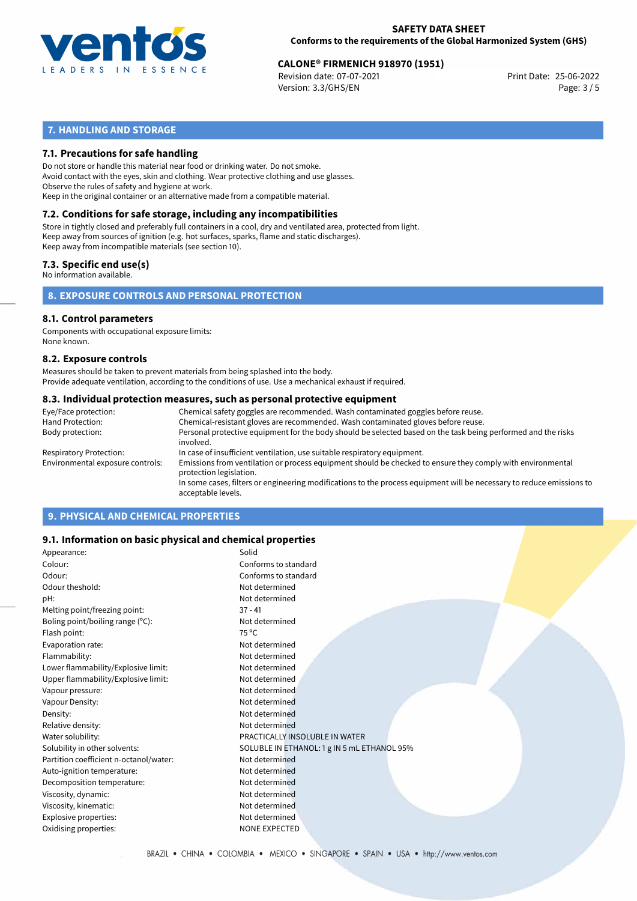

# 25-06-2022 **CALONE® FIRMENICH 918970 (1951)**

Revision date: 07-07-2021 Version: 3.3/GHS/EN Page: 3 / 5

# **7. HANDLING AND STORAGE**

## **7.1. Precautions for safe handling**

Do not store or handle this material near food or drinking water. Do not smoke. Avoid contact with the eyes, skin and clothing. Wear protective clothing and use glasses. Observe the rules of safety and hygiene at work. Keep in the original container or an alternative made from a compatible material.

# **7.2. Conditions for safe storage, including any incompatibilities**

Store in tightly closed and preferably full containers in a cool, dry and ventilated area, protected from light. Keep away from sources of ignition (e.g. hot surfaces, sparks, flame and static discharges). Keep away from incompatible materials (see section 10).

#### **7.3. Specific end use(s)**

No information available.

**8. EXPOSURE CONTROLS AND PERSONAL PROTECTION**

#### **8.1. Control parameters**

Components with occupational exposure limits: None known.

#### **8.2. Exposure controls**

Measures should be taken to prevent materials from being splashed into the body. Provide adequate ventilation, according to the conditions of use. Use a mechanical exhaust if required.

#### **8.3. Individual protection measures, such as personal protective equipment**

| Eye/Face protection:             | Chemical safety goggles are recommended. Wash contaminated goggles before reuse.                                                            |  |  |  |  |
|----------------------------------|---------------------------------------------------------------------------------------------------------------------------------------------|--|--|--|--|
| Hand Protection:                 | Chemical-resistant gloves are recommended. Wash contaminated gloves before reuse.                                                           |  |  |  |  |
| Body protection:                 | Personal protective equipment for the body should be selected based on the task being performed and the risks<br>involved.                  |  |  |  |  |
| Respiratory Protection:          | In case of insufficient ventilation, use suitable respiratory equipment.                                                                    |  |  |  |  |
| Environmental exposure controls: | Emissions from ventilation or process equipment should be checked to ensure they comply with environmental<br>protection legislation.       |  |  |  |  |
|                                  | In some cases, filters or engineering modifications to the process equipment will be necessary to reduce emissions to<br>acceptable levels. |  |  |  |  |
|                                  |                                                                                                                                             |  |  |  |  |

# **9. PHYSICAL AND CHEMICAL PROPERTIES**

### **9.1. Information on basic physical and chemical properties**

| Appearance:                            | Solid                                       |
|----------------------------------------|---------------------------------------------|
| Colour:                                | Conforms to standard                        |
| Odour:                                 | Conforms to standard                        |
| Odour theshold:                        | Not determined                              |
| pH:                                    | Not determined                              |
| Melting point/freezing point:          | $37 - 41$                                   |
| Boling point/boiling range (°C):       | Not determined                              |
| Flash point:                           | 75 °C                                       |
| Evaporation rate:                      | Not determined                              |
| Flammability:                          | Not determined                              |
| Lower flammability/Explosive limit:    | Not determined                              |
| Upper flammability/Explosive limit:    | Not determined                              |
| Vapour pressure:                       | Not determined                              |
| Vapour Density:                        | Not determined                              |
| Density:                               | Not determined                              |
| Relative density:                      | Not determined                              |
| Water solubility:                      | PRACTICALLY INSOLUBLE IN WATER              |
| Solubility in other solvents:          | SOLUBLE IN ETHANOL: 1 g IN 5 mL ETHANOL 95% |
| Partition coefficient n-octanol/water: | Not determined                              |
| Auto-ignition temperature:             | Not determined                              |
| Decomposition temperature:             | Not determined                              |
| Viscosity, dynamic:                    | Not determined                              |
| Viscosity, kinematic:                  | Not determined                              |
| Explosive properties:                  | Not determined                              |
| Oxidising properties:                  | <b>NONE EXPECTED</b>                        |
|                                        |                                             |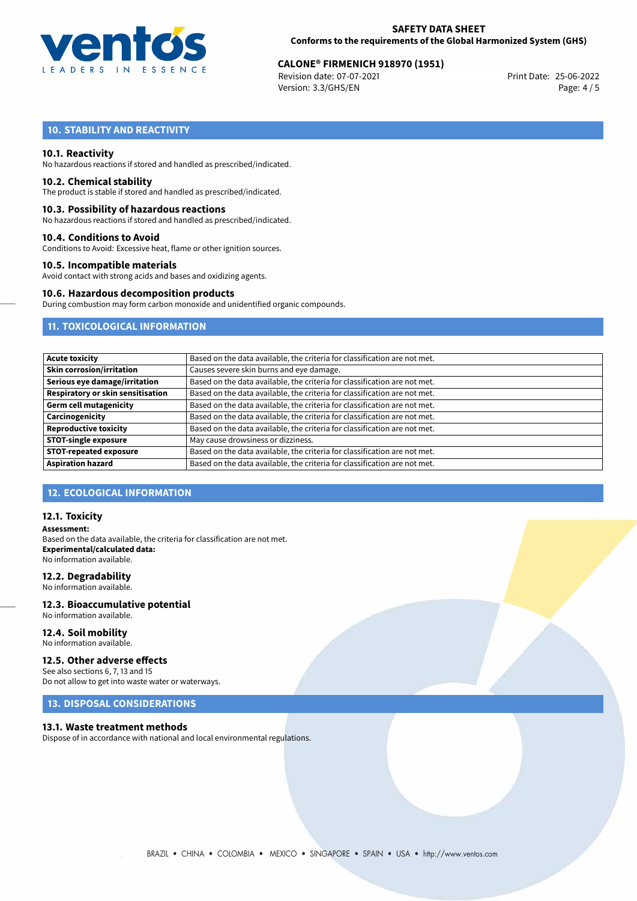

# 25-06-2022 **CALONE® FIRMENICH 918970 (1951)**

Revision date: 07-07-2021 Version: 3.3/GHS/EN Page: 4 / 5

# **10. STABILITY AND REACTIVITY**

#### **10.1. Reactivity**

No hazardous reactions if stored and handled as prescribed/indicated.

#### **10.2. Chemical stability**

The product is stable if stored and handled as prescribed/indicated.

#### **10.3. Possibility of hazardous reactions**

No hazardous reactions if stored and handled as prescribed/indicated.

#### **10.4. Conditions to Avoid**

Conditions to Avoid: Excessive heat, flame or other ignition sources.

#### **10.5. Incompatible materials**

Avoid contact with strong acids and bases and oxidizing agents.

#### **10.6. Hazardous decomposition products**

During combustion may form carbon monoxide and unidentified organic compounds.

# **11. TOXICOLOGICAL INFORMATION**

| <b>Acute toxicity</b>             | Based on the data available, the criteria for classification are not met. |  |  |  |
|-----------------------------------|---------------------------------------------------------------------------|--|--|--|
| <b>Skin corrosion/irritation</b>  | Causes severe skin burns and eye damage.                                  |  |  |  |
| Serious eye damage/irritation     | Based on the data available, the criteria for classification are not met. |  |  |  |
| Respiratory or skin sensitisation | Based on the data available, the criteria for classification are not met. |  |  |  |
| Germ cell mutagenicity            | Based on the data available, the criteria for classification are not met. |  |  |  |
| Carcinogenicity                   | Based on the data available, the criteria for classification are not met. |  |  |  |
| <b>Reproductive toxicity</b>      | Based on the data available, the criteria for classification are not met. |  |  |  |
| <b>STOT-single exposure</b>       | May cause drowsiness or dizziness.                                        |  |  |  |
| <b>STOT-repeated exposure</b>     | Based on the data available, the criteria for classification are not met. |  |  |  |
| <b>Aspiration hazard</b>          | Based on the data available, the criteria for classification are not met. |  |  |  |

### **12. ECOLOGICAL INFORMATION**

#### **12.1. Toxicity**

**Assessment:** Based on the data available, the criteria for classification are not met. **Experimental/calculated data:** No information available.

#### **12.2. Degradability**

No information available.

#### **12.3. Bioaccumulative potential** No information available.

**12.4. Soil mobility**

# No information available.

## **12.5. Other adverse effects**

See also sections 6, 7, 13 and 15 Do not allow to get into waste water or waterways.

# **13. DISPOSAL CONSIDERATIONS**

#### **13.1. Waste treatment methods**

Dispose of in accordance with national and local environmental regulations.